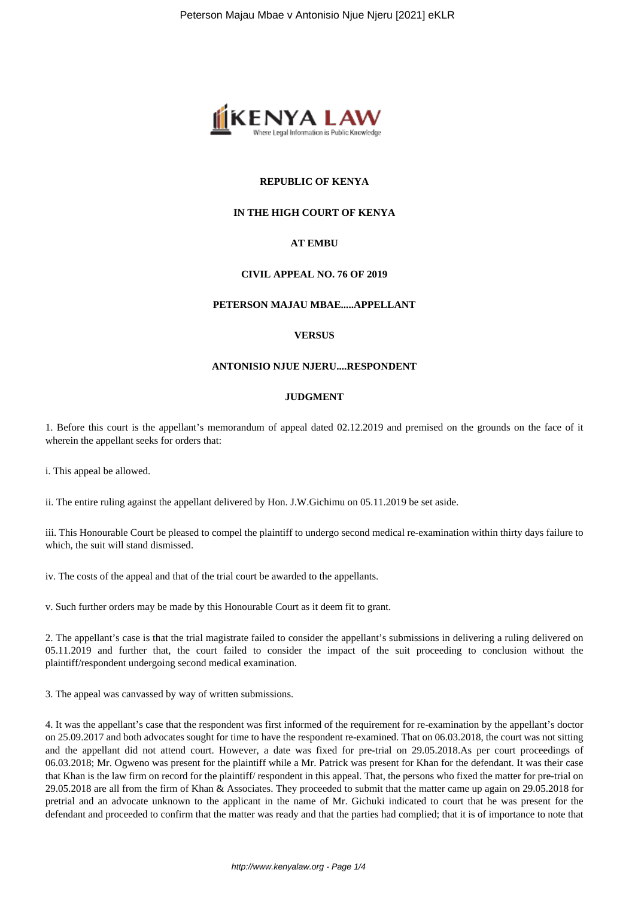

# **REPUBLIC OF KENYA**

## **IN THE HIGH COURT OF KENYA**

# **AT EMBU**

### **CIVIL APPEAL NO. 76 OF 2019**

#### **PETERSON MAJAU MBAE.....APPELLANT**

### **VERSUS**

#### **ANTONISIO NJUE NJERU....RESPONDENT**

#### **JUDGMENT**

1. Before this court is the appellant's memorandum of appeal dated 02.12.2019 and premised on the grounds on the face of it wherein the appellant seeks for orders that:

i. This appeal be allowed.

ii. The entire ruling against the appellant delivered by Hon. J.W.Gichimu on 05.11.2019 be set aside.

iii. This Honourable Court be pleased to compel the plaintiff to undergo second medical re-examination within thirty days failure to which, the suit will stand dismissed.

iv. The costs of the appeal and that of the trial court be awarded to the appellants.

v. Such further orders may be made by this Honourable Court as it deem fit to grant.

2. The appellant's case is that the trial magistrate failed to consider the appellant's submissions in delivering a ruling delivered on 05.11.2019 and further that, the court failed to consider the impact of the suit proceeding to conclusion without the plaintiff/respondent undergoing second medical examination.

3. The appeal was canvassed by way of written submissions.

4. It was the appellant's case that the respondent was first informed of the requirement for re-examination by the appellant's doctor on 25.09.2017 and both advocates sought for time to have the respondent re-examined. That on 06.03.2018, the court was not sitting and the appellant did not attend court. However, a date was fixed for pre-trial on 29.05.2018.As per court proceedings of 06.03.2018; Mr. Ogweno was present for the plaintiff while a Mr. Patrick was present for Khan for the defendant. It was their case that Khan is the law firm on record for the plaintiff/ respondent in this appeal. That, the persons who fixed the matter for pre-trial on 29.05.2018 are all from the firm of Khan & Associates. They proceeded to submit that the matter came up again on 29.05.2018 for pretrial and an advocate unknown to the applicant in the name of Mr. Gichuki indicated to court that he was present for the defendant and proceeded to confirm that the matter was ready and that the parties had complied; that it is of importance to note that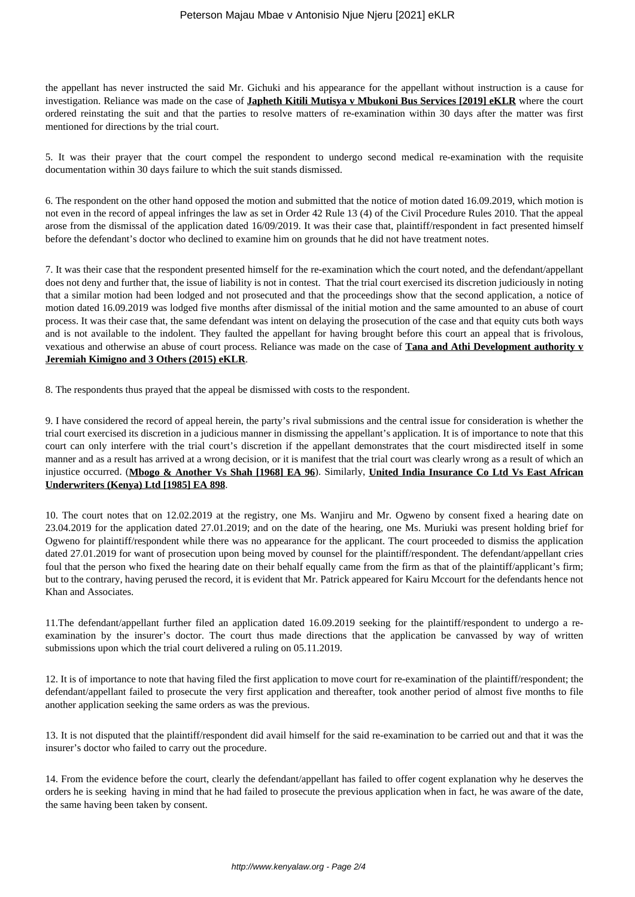the appellant has never instructed the said Mr. Gichuki and his appearance for the appellant without instruction is a cause for investigation. Reliance was made on the case of **Japheth Kitili Mutisya v Mbukoni Bus Services [2019] eKLR** where the court ordered reinstating the suit and that the parties to resolve matters of re-examination within 30 days after the matter was first mentioned for directions by the trial court.

5. It was their prayer that the court compel the respondent to undergo second medical re-examination with the requisite documentation within 30 days failure to which the suit stands dismissed.

6. The respondent on the other hand opposed the motion and submitted that the notice of motion dated 16.09.2019, which motion is not even in the record of appeal infringes the law as set in Order 42 Rule 13 (4) of the Civil Procedure Rules 2010. That the appeal arose from the dismissal of the application dated 16/09/2019. It was their case that, plaintiff/respondent in fact presented himself before the defendant's doctor who declined to examine him on grounds that he did not have treatment notes.

7. It was their case that the respondent presented himself for the re-examination which the court noted, and the defendant/appellant does not deny and further that, the issue of liability is not in contest. That the trial court exercised its discretion judiciously in noting that a similar motion had been lodged and not prosecuted and that the proceedings show that the second application, a notice of motion dated 16.09.2019 was lodged five months after dismissal of the initial motion and the same amounted to an abuse of court process. It was their case that, the same defendant was intent on delaying the prosecution of the case and that equity cuts both ways and is not available to the indolent. They faulted the appellant for having brought before this court an appeal that is frivolous, vexatious and otherwise an abuse of court process. Reliance was made on the case of **Tana and Athi Development authority v Jeremiah Kimigno and 3 Others (2015) eKLR**.

8. The respondents thus prayed that the appeal be dismissed with costs to the respondent.

9. I have considered the record of appeal herein, the party's rival submissions and the central issue for consideration is whether the trial court exercised its discretion in a judicious manner in dismissing the appellant's application. It is of importance to note that this court can only interfere with the trial court's discretion if the appellant demonstrates that the court misdirected itself in some manner and as a result has arrived at a wrong decision, or it is manifest that the trial court was clearly wrong as a result of which an injustice occurred. (**Mbogo & Another Vs Shah [1968] EA 96**). Similarly, **United India Insurance Co Ltd Vs East African Underwriters (Kenya) Ltd [1985] EA 898**.

10. The court notes that on 12.02.2019 at the registry, one Ms. Wanjiru and Mr. Ogweno by consent fixed a hearing date on 23.04.2019 for the application dated 27.01.2019; and on the date of the hearing, one Ms. Muriuki was present holding brief for Ogweno for plaintiff/respondent while there was no appearance for the applicant. The court proceeded to dismiss the application dated 27.01.2019 for want of prosecution upon being moved by counsel for the plaintiff/respondent. The defendant/appellant cries foul that the person who fixed the hearing date on their behalf equally came from the firm as that of the plaintiff/applicant's firm; but to the contrary, having perused the record, it is evident that Mr. Patrick appeared for Kairu Mccourt for the defendants hence not Khan and Associates.

11.The defendant/appellant further filed an application dated 16.09.2019 seeking for the plaintiff/respondent to undergo a reexamination by the insurer's doctor. The court thus made directions that the application be canvassed by way of written submissions upon which the trial court delivered a ruling on 05.11.2019.

12. It is of importance to note that having filed the first application to move court for re-examination of the plaintiff/respondent; the defendant/appellant failed to prosecute the very first application and thereafter, took another period of almost five months to file another application seeking the same orders as was the previous.

13. It is not disputed that the plaintiff/respondent did avail himself for the said re-examination to be carried out and that it was the insurer's doctor who failed to carry out the procedure.

14. From the evidence before the court, clearly the defendant/appellant has failed to offer cogent explanation why he deserves the orders he is seeking having in mind that he had failed to prosecute the previous application when in fact, he was aware of the date, the same having been taken by consent.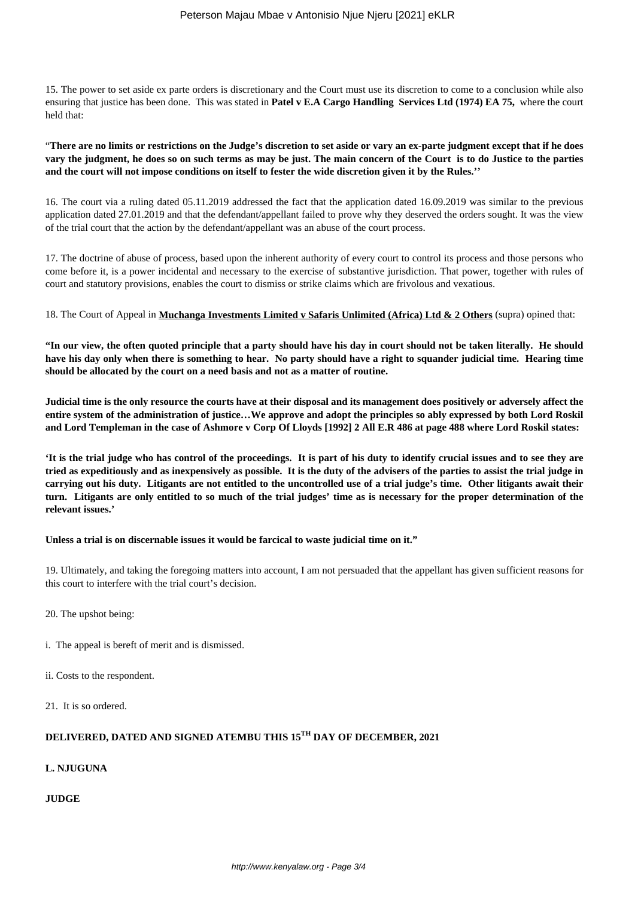15. The power to set aside ex parte orders is discretionary and the Court must use its discretion to come to a conclusion while also ensuring that justice has been done. This was stated in **Patel v E.A Cargo Handling Services Ltd (1974) EA 75,** where the court held that:

"**There are no limits or restrictions on the Judge's discretion to set aside or vary an ex-parte judgment except that if he does vary the judgment, he does so on such terms as may be just. The main concern of the Court is to do Justice to the parties and the court will not impose conditions on itself to fester the wide discretion given it by the Rules.''**

16. The court via a ruling dated 05.11.2019 addressed the fact that the application dated 16.09.2019 was similar to the previous application dated 27.01.2019 and that the defendant/appellant failed to prove why they deserved the orders sought. It was the view of the trial court that the action by the defendant/appellant was an abuse of the court process.

17. The doctrine of abuse of process, based upon the inherent authority of every court to control its process and those persons who come before it, is a power incidental and necessary to the exercise of substantive jurisdiction. That power, together with rules of court and statutory provisions, enables the court to dismiss or strike claims which are frivolous and vexatious.

### 18. The Court of Appeal in **Muchanga Investments Limited v Safaris Unlimited (Africa) Ltd & 2 Others** (supra) opined that:

**"In our view, the often quoted principle that a party should have his day in court should not be taken literally. He should have his day only when there is something to hear. No party should have a right to squander judicial time. Hearing time should be allocated by the court on a need basis and not as a matter of routine.** 

**Judicial time is the only resource the courts have at their disposal and its management does positively or adversely affect the entire system of the administration of justice…We approve and adopt the principles so ably expressed by both Lord Roskil and Lord Templeman in the case of Ashmore v Corp Of Lloyds [1992] 2 All E.R 486 at page 488 where Lord Roskil states:**

**'It is the trial judge who has control of the proceedings. It is part of his duty to identify crucial issues and to see they are tried as expeditiously and as inexpensively as possible. It is the duty of the advisers of the parties to assist the trial judge in carrying out his duty. Litigants are not entitled to the uncontrolled use of a trial judge's time. Other litigants await their turn. Litigants are only entitled to so much of the trial judges' time as is necessary for the proper determination of the relevant issues.'**

#### **Unless a trial is on discernable issues it would be farcical to waste judicial time on it."**

19. Ultimately, and taking the foregoing matters into account, I am not persuaded that the appellant has given sufficient reasons for this court to interfere with the trial court's decision.

- 20. The upshot being:
- i. The appeal is bereft of merit and is dismissed.
- ii. Costs to the respondent.

21. It is so ordered.

# **DELIVERED, DATED AND SIGNED ATEMBU THIS 15TH DAY OF DECEMBER, 2021**

# **L. NJUGUNA**

# **JUDGE**